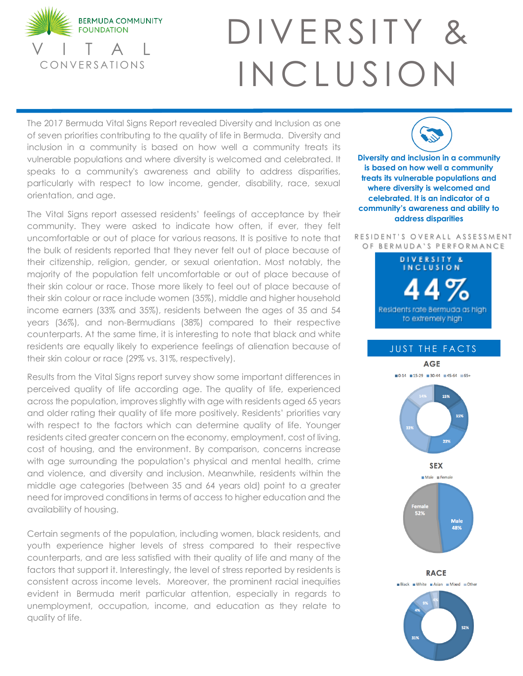

## DIVERSITY & INCLUSION

The 2017 Bermuda Vital Signs Report revealed Diversity and Inclusion as one of seven priorities contributing to the quality of life in Bermuda. Diversity and inclusion in a community is based on how well a community treats its vulnerable populations and where diversity is welcomed and celebrated. It speaks to a community's awareness and ability to address disparities, particularly with respect to low income, gender, disability, race, sexual orientation, and age.

The Vital Signs report assessed residents' feelings of acceptance by their community. They were asked to indicate how often, if ever, they felt uncomfortable or out of place for various reasons. It is positive to note that the bulk of residents reported that they never felt out of place because of their citizenship, religion, gender, or sexual orientation. Most notably, the majority of the population felt uncomfortable or out of place because of their skin colour or race. Those more likely to feel out of place because of their skin colour or race include women (35%), middle and higher household income earners (33% and 35%), residents between the ages of 35 and 54 years (36%), and non-Bermudians (38%) compared to their respective counterparts. At the same time, it is interesting to note that black and white residents are equally likely to experience feelings of alienation because of their skin colour or race (29% vs. 31%, respectively).

Results from the Vital Signs report survey show some important differences in perceived quality of life according age. The quality of life, experienced across the population, improves slightly with age with residents aged 65 years and older rating their quality of life more positively. Residents' priorities vary with respect to the factors which can determine quality of life. Younger residents cited greater concern on the economy, employment, cost of living, cost of housing, and the environment. By comparison, concerns increase with age surrounding the population's physical and mental health, crime and violence, and diversity and inclusion. Meanwhile, residents within the middle age categories (between 35 and 64 years old) point to a greater need for improved conditions in terms of access to higher education and the availability of housing.

Certain segments of the population, including women, black residents, and youth experience higher levels of stress compared to their respective counterparts, and are less satisfied with their quality of life and many of the factors that support it. Interestingly, the level of stress reported by residents is consistent across income levels. Moreover, the prominent racial inequities evident in Bermuda merit particular attention, especially in regards to unemployment, occupation, income, and education as they relate to quality of life.

**Diversity and inclusion in a community is based on how well a community treats its vulnerable populations and where diversity is welcomed and celebrated. It is an indicator of a community's awareness and ability to address disparities**

RESIDENT'S OVERALL ASSESSMENT OF BERMUDA'S PERFORMANCE



## JUST THE FACTS

**AGE**  $\blacksquare$  0-14  $\blacksquare$  15-29  $\blacksquare$  30-44  $\blacksquare$  45-64  $\blacksquare$  65+ 15% 15% **SEX**  $Male$  Female Female<br>52% Male 48%